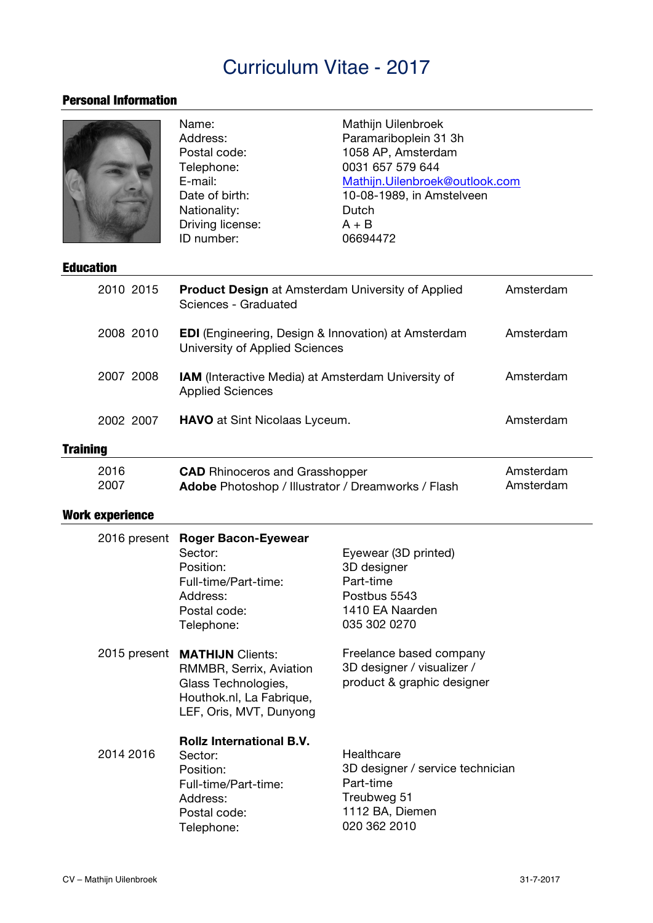## Curriculum Vitae - 2017

## Personal Information

|                        | Name:<br>Address:<br>Postal code:<br>Telephone:<br>E-mail:<br>Date of birth:<br>Nationality:<br>Driving license:<br>ID number:         | Mathijn Uilenbroek<br>Paramariboplein 31 3h<br>1058 AP, Amsterdam<br>0031 657 579 644<br>Mathijn.Uilenbroek@outlook.com<br>10-08-1989, in Amstelveen<br>Dutch<br>$A + B$<br>06694472 |                        |
|------------------------|----------------------------------------------------------------------------------------------------------------------------------------|--------------------------------------------------------------------------------------------------------------------------------------------------------------------------------------|------------------------|
| <b>Education</b>       |                                                                                                                                        |                                                                                                                                                                                      |                        |
| 2010 2015              | Amsterdam<br><b>Product Design at Amsterdam University of Applied</b><br>Sciences - Graduated                                          |                                                                                                                                                                                      |                        |
| 2008 2010              | <b>EDI</b> (Engineering, Design & Innovation) at Amsterdam<br>University of Applied Sciences                                           |                                                                                                                                                                                      | Amsterdam              |
| 2007 2008              | IAM (Interactive Media) at Amsterdam University of<br><b>Applied Sciences</b>                                                          |                                                                                                                                                                                      | Amsterdam              |
| 2002 2007              | <b>HAVO</b> at Sint Nicolaas Lyceum.                                                                                                   |                                                                                                                                                                                      | Amsterdam              |
| <b>Training</b>        |                                                                                                                                        |                                                                                                                                                                                      |                        |
| 2016<br>2007           | <b>CAD</b> Rhinoceros and Grasshopper<br>Adobe Photoshop / Illustrator / Dreamworks / Flash                                            |                                                                                                                                                                                      | Amsterdam<br>Amsterdam |
| <b>Work experience</b> |                                                                                                                                        |                                                                                                                                                                                      |                        |
| 2016 present           | <b>Roger Bacon-Eyewear</b><br>Sector:<br>Position:<br>Full-time/Part-time:<br>Address:<br>Postal code:<br>Telephone:                   | Eyewear (3D printed)<br>3D designer<br>Part-time<br>Postbus 5543<br>1410 EA Naarden<br>035 302 0270                                                                                  |                        |
|                        | 2015 present MATHIJN Clients:<br>RMMBR, Serrix, Aviation<br>Glass Technologies,<br>Houthok.nl, La Fabrique,<br>LEF, Oris, MVT, Dunyong | Freelance based company<br>3D designer / visualizer /<br>product & graphic designer                                                                                                  |                        |
| 2014 2016              | <b>Rollz International B.V.</b><br>Sector:<br>Position:<br>Full-time/Part-time:<br>Address:<br>Postal code:<br>Telephone:              | Healthcare<br>3D designer / service technician<br>Part-time<br>Treubweg 51<br>1112 BA, Diemen<br>020 362 2010                                                                        |                        |